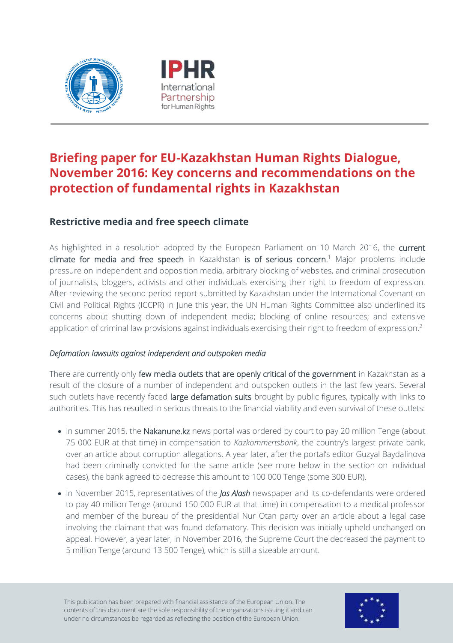



# **Briefing paper for EU-Kazakhstan Human Rights Dialogue, November 2016: Key concerns and recommendations on the protection of fundamental rights in Kazakhstan**

# **Restrictive media and free speech climate**

As highlighted in a resolution adopted by the European Parliament on 10 March 2016, the current climate for media and free speech in Kazakhstan is of serious concern.<sup>1</sup> Major problems include pressure on independent and opposition media, arbitrary blocking of websites, and criminal prosecution of journalists, bloggers, activists and other individuals exercising their right to freedom of expression. After reviewing the second period report submitted by Kazakhstan under the International Covenant on Civil and Political Rights (ICCPR) in June this year, the UN Human Rights Committee also underlined its concerns about shutting down of independent media; blocking of online resources; and extensive application of criminal law provisions against individuals exercising their right to freedom of expression.<sup>2</sup>

### *Defamation lawsuits against independent and outspoken media*

There are currently only few media outlets that are openly critical of the government in Kazakhstan as a result of the closure of a number of independent and outspoken outlets in the last few years. Several such outlets have recently faced large defamation suits brought by public figures, typically with links to authorities. This has resulted in serious threats to the financial viability and even survival of these outlets:

- In summer 2015, the Nakanune.kz news portal was ordered by court to pay 20 million Tenge (about 75 000 EUR at that time) in compensation to *Kazkommertsbank*, the country's largest private bank, over an article about corruption allegations. A year later, after the portal's editor Guzyal Baydalinova had been criminally convicted for the same article (see more below in the section on individual cases), the bank agreed to decrease this amount to 100 000 Tenge (some 300 EUR).
- In November 2015, representatives of the *Jas Alash* newspaper and its co-defendants were ordered to pay 40 million Tenge (around 150 000 EUR at that time) in compensation to a medical professor and member of the bureau of the presidential Nur Otan party over an article about a legal case involving the claimant that was found defamatory. This decision was initially upheld unchanged on appeal. However, a year later, in November 2016, the Supreme Court the decreased the payment to 5 million Tenge (around 13 500 Tenge), which is still a sizeable amount.

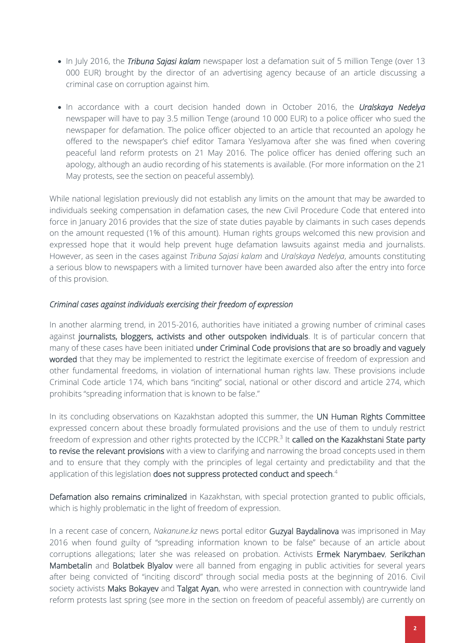- In July 2016, the *Tribuna Sajasi kalam* newspaper lost a defamation suit of 5 million Tenge (over 13 000 EUR) brought by the director of an advertising agency because of an article discussing a criminal case on corruption against him.
- In accordance with a court decision handed down in October 2016, the *Uralskaya Nedelya* newspaper will have to pay 3.5 million Tenge (around 10 000 EUR) to a police officer who sued the newspaper for defamation. The police officer objected to an article that recounted an apology he offered to the newspaper's chief editor Tamara Yeslyamova after she was fined when covering peaceful land reform protests on 21 May 2016. The police officer has denied offering such an apology, although an audio recording of his statements is available. (For more information on the 21 May protests, see the section on peaceful assembly).

While national legislation previously did not establish any limits on the amount that may be awarded to individuals seeking compensation in defamation cases, the new Civil Procedure Code that entered into force in January 2016 provides that the size of state duties payable by claimants in such cases depends on the amount requested (1% of this amount). Human rights groups welcomed this new provision and expressed hope that it would help prevent huge defamation lawsuits against media and journalists. However, as seen in the cases against *Tribuna Sajasi kalam* and *Uralskaya Nedelya*, amounts constituting a serious blow to newspapers with a limited turnover have been awarded also after the entry into force of this provision.

#### *Criminal cases against individuals exercising their freedom of expression*

In another alarming trend, in 2015-2016, authorities have initiated a growing number of criminal cases against journalists, bloggers, activists and other outspoken individuals. It is of particular concern that many of these cases have been initiated under Criminal Code provisions that are so broadly and vaguely worded that they may be implemented to restrict the legitimate exercise of freedom of expression and other fundamental freedoms, in violation of international human rights law. These provisions include Criminal Code article 174, which bans "inciting" social, national or other discord and article 274, which prohibits "spreading information that is known to be false."

In its concluding observations on Kazakhstan adopted this summer, the UN Human Rights Committee expressed concern about these broadly formulated provisions and the use of them to unduly restrict freedom of expression and other rights protected by the ICCPR.<sup>3</sup> It **called on the Kazakhstani State party** to revise the relevant provisions with a view to clarifying and narrowing the broad concepts used in them and to ensure that they comply with the principles of legal certainty and predictability and that the application of this legislation does not suppress protected conduct and speech.<sup>4</sup>

Defamation also remains criminalized in Kazakhstan, with special protection granted to public officials, which is highly problematic in the light of freedom of expression.

In a recent case of concern, *Nakanune.kz* news portal editor Guzyal Baydalinova was imprisoned in May 2016 when found guilty of "spreading information known to be false" because of an article about corruptions allegations; later she was released on probation. Activists Ermek Narymbaev, Serikzhan Mambetalin and Bolatbek Blyalov were all banned from engaging in public activities for several years after being convicted of "inciting discord" through social media posts at the beginning of 2016. Civil society activists Maks Bokayev and Talgat Ayan, who were arrested in connection with countrywide land reform protests last spring (see more in the section on freedom of peaceful assembly) are currently on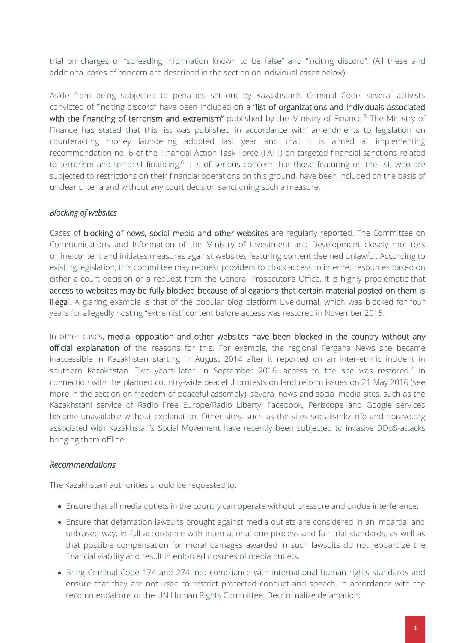trial on charges of "spreading information known to be false" and "inciting discord". (All these and additional cases of concern are described in the section on individual cases below).

Aside from being subjected to penalties set out by Kazakhstan's Criminal Code, several activists convicted of "inciting discord" have been included on a "list of organizations and individuals associated with the financing of terrorism and extremism" published by the Ministry of Finance.<sup>5</sup> The Ministry of Finance has stated that this list was published in accordance with amendments to legislation on counteracting money laundering adopted last year and that it is aimed at implementing recommendation no. 6 of the Financial Action Task Force (FAFT) on targeted financial sanctions related to terrorism and terrorist financing.<sup>6</sup> It is of serious concern that those featuring on the list, who are subjected to restrictions on their financial operations on this ground, have been included on the basis of unclear criteria and without any court decision sanctioning such a measure.

### *Blocking of websites*

Cases of blocking of news, social media and other websites are regularly reported. The Committee on Communications and Information of the Ministry of Investment and Development closely monitors online content and initiates measures against websites featuring content deemed unlawful. According to existing legislation, this committee may request providers to block access to internet resources based on either a court decision or a request from the General Prosecutor's Office. It is highly problematic that access to websites may be fully blocked because of allegations that certain material posted on them is illegal. A glaring example is that of the popular blog platform LiveJournal, which was blocked for four years for allegedly hosting "extremist" content before access was restored in November 2015.

In other cases, media, opposition and other websites have been blocked in the country without any official explanation of the reasons for this. For example, the regional Fergana News site became inaccessible in Kazakhstan starting in August 2014 after it reported on an inter-ethnic incident in southern Kazakhstan. Two years later, in September 2016, access to the site was restored.<sup>7</sup> In connection with the planned country-wide peaceful protests on land reform issues on 21 May 2016 (see more in the section on freedom of peaceful assembly), several news and social media sites, such as the Kazakhstani service of Radio Free Europe/Radio Liberty, Facebook, Periscope and Google services became unavailable without explanation. Other sites, such as the sites socialismkz.info and npravo.org associated with Kazakhstan's Social Movement have recently been subjected to invasive DDoS-attacks bringing them offline.

### *Recommendations*

The Kazakhstani authorities should be requested to:

- Ensure that all media outlets in the country can operate without pressure and undue interference.
- Ensure that defamation lawsuits brought against media outlets are considered in an impartial and unbiased way, in full accordance with international due process and fair trial standards, as well as that possible compensation for moral damages awarded in such lawsuits do not jeopardize the financial viability and result in enforced closures of media outlets.
- Bring Criminal Code 174 and 274 into compliance with international human rights standards and ensure that they are not used to restrict protected conduct and speech, in accordance with the recommendations of the UN Human Rights Committee. Decriminalize defamation.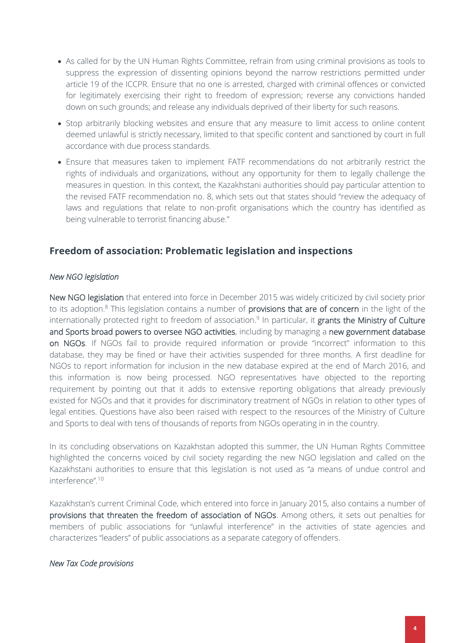- As called for by the UN Human Rights Committee, refrain from using criminal provisions as tools to suppress the expression of dissenting opinions beyond the narrow restrictions permitted under article 19 of the ICCPR. Ensure that no one is arrested, charged with criminal offences or convicted for legitimately exercising their right to freedom of expression; reverse any convictions handed down on such grounds; and release any individuals deprived of their liberty for such reasons.
- Stop arbitrarily blocking websites and ensure that any measure to limit access to online content deemed unlawful is strictly necessary, limited to that specific content and sanctioned by court in full accordance with due process standards.
- Ensure that measures taken to implement FATF recommendations do not arbitrarily restrict the rights of individuals and organizations, without any opportunity for them to legally challenge the measures in question. In this context, the Kazakhstani authorities should pay particular attention to the revised FATF recommendation no. 8, which sets out that states should "review the adequacy of laws and regulations that relate to non-profit organisations which the country has identified as being vulnerable to terrorist financing abuse."

# **Freedom of association: Problematic legislation and inspections**

#### *New NGO legislation*

New NGO legislation that entered into force in December 2015 was widely criticized by civil society prior to its adoption.<sup>8</sup> This legislation contains a number of provisions that are of concern in the light of the internationally protected right to freedom of association.<sup>9</sup> In particular, it grants the Ministry of Culture and Sports broad powers to oversee NGO activities, including by managing a new government database on NGOs. If NGOs fail to provide required information or provide "incorrect" information to this database, they may be fined or have their activities suspended for three months. A first deadline for NGOs to report information for inclusion in the new database expired at the end of March 2016, and this information is now being processed. NGO representatives have objected to the reporting requirement by pointing out that it adds to extensive reporting obligations that already previously existed for NGOs and that it provides for discriminatory treatment of NGOs in relation to other types of legal entities. Questions have also been raised with respect to the resources of the Ministry of Culture and Sports to deal with tens of thousands of reports from NGOs operating in in the country.

In its concluding observations on Kazakhstan adopted this summer, the UN Human Rights Committee highlighted the concerns voiced by civil society regarding the new NGO legislation and called on the Kazakhstani authorities to ensure that this legislation is not used as "a means of undue control and interference".<sup>10</sup>

Kazakhstan's current Criminal Code, which entered into force in January 2015, also contains a number of provisions that threaten the freedom of association of NGOs. Among others, it sets out penalties for members of public associations for "unlawful interference" in the activities of state agencies and characterizes "leaders" of public associations as a separate category of offenders.

#### *New Tax Code provisions*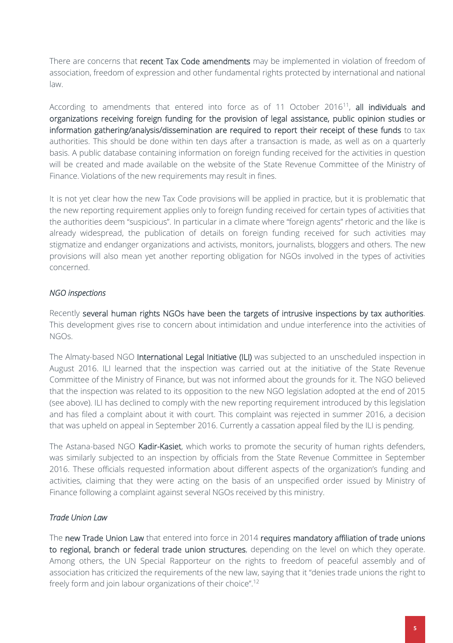There are concerns that recent Tax Code amendments may be implemented in violation of freedom of association, freedom of expression and other fundamental rights protected by international and national law.

According to amendments that entered into force as of 11 October 2016<sup>11</sup>, all individuals and organizations receiving foreign funding for the provision of legal assistance, public opinion studies or information gathering/analysis/dissemination are required to report their receipt of these funds to tax authorities. This should be done within ten days after a transaction is made, as well as on a quarterly basis. A public database containing information on foreign funding received for the activities in question will be created and made available on the website of the State Revenue Committee of the Ministry of Finance. Violations of the new requirements may result in fines.

It is not yet clear how the new Tax Code provisions will be applied in practice, but it is problematic that the new reporting requirement applies only to foreign funding received for certain types of activities that the authorities deem "suspicious". In particular in a climate where "foreign agents" rhetoric and the like is already widespread, the publication of details on foreign funding received for such activities may stigmatize and endanger organizations and activists, monitors, journalists, bloggers and others. The new provisions will also mean yet another reporting obligation for NGOs involved in the types of activities concerned.

### *NGO inspections*

Recently several human rights NGOs have been the targets of intrusive inspections by tax authorities. This development gives rise to concern about intimidation and undue interference into the activities of NGOs.

The Almaty-based NGO International Legal Initiative (ILI) was subjected to an unscheduled inspection in August 2016. ILI learned that the inspection was carried out at the initiative of the State Revenue Committee of the Ministry of Finance, but was not informed about the grounds for it. The NGO believed that the inspection was related to its opposition to the new NGO legislation adopted at the end of 2015 (see above). ILI has declined to comply with the new reporting requirement introduced by this legislation and has filed a complaint about it with court. This complaint was rejected in summer 2016, a decision that was upheld on appeal in September 2016. Currently a cassation appeal filed by the ILI is pending.

The Astana-based NGO Kadir-Kasiet, which works to promote the security of human rights defenders, was similarly subjected to an inspection by officials from the State Revenue Committee in September 2016. These officials requested information about different aspects of the organization's funding and activities, claiming that they were acting on the basis of an unspecified order issued by Ministry of Finance following a complaint against several NGOs received by this ministry.

### *Trade Union Law*

The new Trade Union Law that entered into force in 2014 requires mandatory affiliation of trade unions to regional, branch or federal trade union structures, depending on the level on which they operate. Among others, the UN Special Rapporteur on the rights to freedom of peaceful assembly and of association has criticized the requirements of the new law, saying that it "denies trade unions the right to freely form and join labour organizations of their choice".12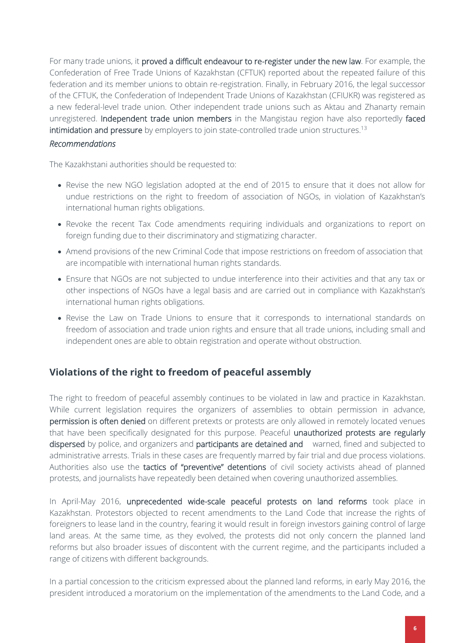For many trade unions, it proved a difficult endeavour to re-register under the new law. For example, the Confederation of Free Trade Unions of Kazakhstan (CFTUK) reported about the repeated failure of this federation and its member unions to obtain re-registration. Finally, in February 2016, the legal successor of the CFTUK, the Confederation of Independent Trade Unions of Kazakhstan (CFIUKR) was registered as a new federal-level trade union. Other independent trade unions such as Aktau and Zhanarty remain unregistered. Independent trade union members in the Mangistau region have also reportedly faced intimidation and pressure by employers to join state-controlled trade union structures.<sup>13</sup>

### *Recommendations*

The Kazakhstani authorities should be requested to:

- Revise the new NGO legislation adopted at the end of 2015 to ensure that it does not allow for undue restrictions on the right to freedom of association of NGOs, in violation of Kazakhstan's international human rights obligations.
- Revoke the recent Tax Code amendments requiring individuals and organizations to report on foreign funding due to their discriminatory and stigmatizing character.
- Amend provisions of the new Criminal Code that impose restrictions on freedom of association that are incompatible with international human rights standards.
- Ensure that NGOs are not subjected to undue interference into their activities and that any tax or other inspections of NGOs have a legal basis and are carried out in compliance with Kazakhstan's international human rights obligations.
- Revise the Law on Trade Unions to ensure that it corresponds to international standards on freedom of association and trade union rights and ensure that all trade unions, including small and independent ones are able to obtain registration and operate without obstruction.

# **Violations of the right to freedom of peaceful assembly**

The right to freedom of peaceful assembly continues to be violated in law and practice in Kazakhstan. While current legislation requires the organizers of assemblies to obtain permission in advance, permission is often denied on different pretexts or protests are only allowed in remotely located venues that have been specifically designated for this purpose. Peaceful unauthorized protests are regularly dispersed by police, and organizers and participants are detained and warned, fined and subjected to administrative arrests. Trials in these cases are frequently marred by fair trial and due process violations. Authorities also use the tactics of "preventive" detentions of civil society activists ahead of planned protests, and journalists have repeatedly been detained when covering unauthorized assemblies.

In April-May 2016, unprecedented wide-scale peaceful protests on land reforms took place in Kazakhstan. Protestors objected to recent amendments to the Land Code that increase the rights of foreigners to lease land in the country, fearing it would result in foreign investors gaining control of large land areas. At the same time, as they evolved, the protests did not only concern the planned land reforms but also broader issues of discontent with the current regime, and the participants included a range of citizens with different backgrounds.

In a partial concession to the criticism expressed about the planned land reforms, in early May 2016, the president introduced a moratorium on the implementation of the amendments to the Land Code, and a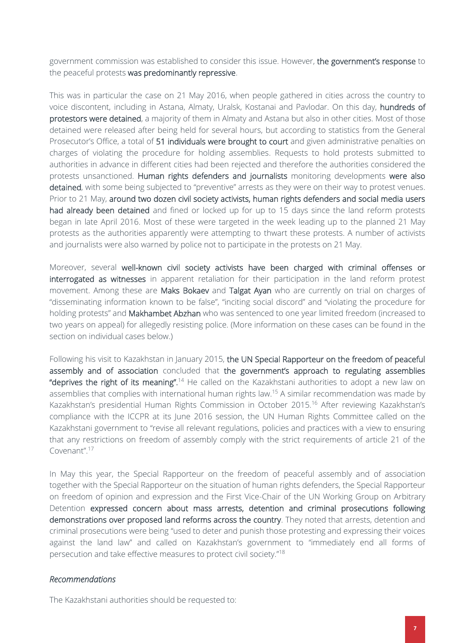government commission was established to consider this issue. However, the government's response to the peaceful protests was predominantly repressive.

This was in particular the case on 21 May 2016, when people gathered in cities across the country to voice discontent, including in Astana, Almaty, Uralsk, Kostanai and Pavlodar. On this day, hundreds of protestors were detained, a majority of them in Almaty and Astana but also in other cities. Most of those detained were released after being held for several hours, but according to statistics from the General Prosecutor's Office, a total of 51 individuals were brought to court and given administrative penalties on charges of violating the procedure for holding assemblies. Requests to hold protests submitted to authorities in advance in different cities had been rejected and therefore the authorities considered the protests unsanctioned. Human rights defenders and journalists monitoring developments were also detained, with some being subjected to "preventive" arrests as they were on their way to protest venues. Prior to 21 May, around two dozen civil society activists, human rights defenders and social media users had already been detained and fined or locked up for up to 15 days since the land reform protests began in late April 2016. Most of these were targeted in the week leading up to the planned 21 May protests as the authorities apparently were attempting to thwart these protests. A number of activists and journalists were also warned by police not to participate in the protests on 21 May.

Moreover, several well-known civil society activists have been charged with criminal offenses or interrogated as witnesses in apparent retaliation for their participation in the land reform protest movement. Among these are Maks Bokaev and Talgat Ayan who are currently on trial on charges of "disseminating information known to be false", "inciting social discord" and "violating the procedure for holding protests" and Makhambet Abzhan who was sentenced to one year limited freedom (increased to two years on appeal) for allegedly resisting police. (More information on these cases can be found in the section on individual cases below.)

Following his visit to Kazakhstan in January 2015, the UN Special Rapporteur on the freedom of peaceful assembly and of association concluded that the government's approach to regulating assemblies "deprives the right of its meaning".<sup>14</sup> He called on the Kazakhstani authorities to adopt a new law on assemblies that complies with international human rights law.<sup>15</sup> A similar recommendation was made by Kazakhstan's presidential Human Rights Commission in October 2015.<sup>16</sup> After reviewing Kazakhstan's compliance with the ICCPR at its June 2016 session, the UN Human Rights Committee called on the Kazakhstani government to "revise all relevant regulations, policies and practices with a view to ensuring that any restrictions on freedom of assembly comply with the strict requirements of article 21 of the Covenant".<sup>17</sup>

In May this year, the Special Rapporteur on the freedom of peaceful assembly and of association together with the Special Rapporteur on the situation of human rights defenders, the Special Rapporteur on freedom of opinion and expression and the First Vice-Chair of the UN Working Group on Arbitrary Detention expressed concern about mass arrests, detention and criminal prosecutions following demonstrations over proposed land reforms across the country. They noted that arrests, detention and criminal prosecutions were being "used to deter and punish those protesting and expressing their voices against the land law" and called on Kazakhstan's government to "immediately end all forms of persecution and take effective measures to protect civil society."<sup>18</sup>

#### *Recommendations*

The Kazakhstani authorities should be requested to: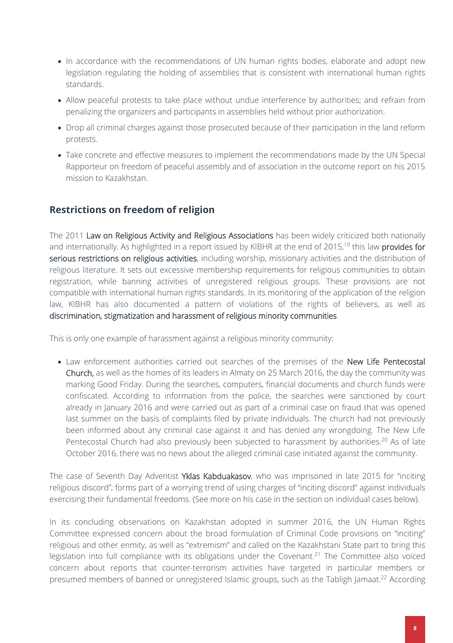- In accordance with the recommendations of UN human rights bodies, elaborate and adopt new legislation regulating the holding of assemblies that is consistent with international human rights standards.
- Allow peaceful protests to take place without undue interference by authorities; and refrain from penalizing the organizers and participants in assemblies held without prior authorization.
- Drop all criminal charges against those prosecuted because of their participation in the land reform protests.
- Take concrete and effective measures to implement the recommendations made by the UN Special Rapporteur on freedom of peaceful assembly and of association in the outcome report on his 2015 mission to Kazakhstan.

# **Restrictions on freedom of religion**

The 2011 Law on Religious Activity and Religious Associations has been widely criticized both nationally and internationally. As highlighted in a report issued by KIBHR at the end of 2015,<sup>19</sup> this law provides for serious restrictions on religious activities, including worship, missionary activities and the distribution of religious literature. It sets out excessive membership requirements for religious communities to obtain registration, while banning activities of unregistered religious groups. These provisions are not compatible with international human rights standards. In its monitoring of the application of the religion law, KIBHR has also documented a pattern of violations of the rights of believers, as well as discrimination, stigmatization and harassment of religious minority communities.

This is only one example of harassment against a religious minority community:

• Law enforcement authorities carried out searches of the premises of the New Life Pentecostal Church, as well as the homes of its leaders in Almaty on 25 March 2016, the day the community was marking Good Friday. During the searches, computers, financial documents and church funds were confiscated. According to information from the police, the searches were sanctioned by court already in January 2016 and were carried out as part of a criminal case on fraud that was opened last summer on the basis of complaints filed by private individuals. The church had not previously been informed about any criminal case against it and has denied any wrongdoing. The New Life Pentecostal Church had also previously been subjected to harassment by authorities.<sup>20</sup> As of late October 2016, there was no news about the alleged criminal case initiated against the community.

The case of Seventh Day Adventist Yklas Kabduakasov, who was imprisoned in late 2015 for "inciting religious discord", forms part of a worrying trend of using charges of "inciting discord" against individuals exercising their fundamental freedoms. (See more on his case in the section on individual cases below).

In its concluding observations on Kazakhstan adopted in summer 2016, the UN Human Rights Committee expressed concern about the broad formulation of Criminal Code provisions on "inciting" religious and other enmity, as well as "extremism" and called on the Kazakhstani State part to bring this legislation into full compliance with its obligations under the Covenant.<sup>21</sup> The Committee also voiced concern about reports that counter-terrorism activities have targeted in particular members or presumed members of banned or unregistered Islamic groups, such as the Tabligh Jamaat.<sup>22</sup> According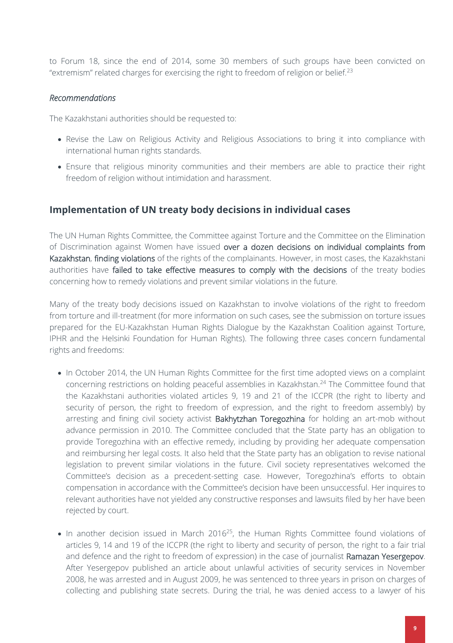to Forum 18, since the end of 2014, some 30 members of such groups have been convicted on "extremism" related charges for exercising the right to freedom of religion or belief.<sup>23</sup>

### *Recommendations*

The Kazakhstani authorities should be requested to:

- Revise the Law on Religious Activity and Religious Associations to bring it into compliance with international human rights standards.
- Ensure that religious minority communities and their members are able to practice their right freedom of religion without intimidation and harassment.

### **Implementation of UN treaty body decisions in individual cases**

The UN Human Rights Committee, the Committee against Torture and the Committee on the Elimination of Discrimination against Women have issued over a dozen decisions on individual complaints from Kazakhstan, finding violations of the rights of the complainants. However, in most cases, the Kazakhstani authorities have failed to take effective measures to comply with the decisions of the treaty bodies concerning how to remedy violations and prevent similar violations in the future.

Many of the treaty body decisions issued on Kazakhstan to involve violations of the right to freedom from torture and ill-treatment (for more information on such cases, see the submission on torture issues prepared for the EU-Kazakhstan Human Rights Dialogue by the Kazakhstan Coalition against Torture, IPHR and the Helsinki Foundation for Human Rights). The following three cases concern fundamental rights and freedoms:

- In October 2014, the UN Human Rights Committee for the first time adopted views on a complaint concerning restrictions on holding peaceful assemblies in Kazakhstan.<sup>24</sup> The Committee found that the Kazakhstani authorities violated articles 9, 19 and 21 of the ICCPR (the right to liberty and security of person, the right to freedom of expression, and the right to freedom assembly) by arresting and fining civil society activist Bakhytzhan Toregozhina for holding an art-mob without advance permission in 2010. The Committee concluded that the State party has an obligation to provide Toregozhina with an effective remedy, including by providing her adequate compensation and reimbursing her legal costs. It also held that the State party has an obligation to revise national legislation to prevent similar violations in the future. Civil society representatives welcomed the Committee's decision as a precedent-setting case. However, Toregozhina's efforts to obtain compensation in accordance with the Committee's decision have been unsuccessful. Her inquires to relevant authorities have not yielded any constructive responses and lawsuits filed by her have been rejected by court.
- $\bullet$  In another decision issued in March 2016<sup>25</sup>, the Human Rights Committee found violations of articles 9, 14 and 19 of the ICCPR (the right to liberty and security of person, the right to a fair trial and defence and the right to freedom of expression) in the case of journalist Ramazan Yesergepov. After Yesergepov published an article about unlawful activities of security services in November 2008, he was arrested and in August 2009, he was sentenced to three years in prison on charges of collecting and publishing state secrets. During the trial, he was denied access to a lawyer of his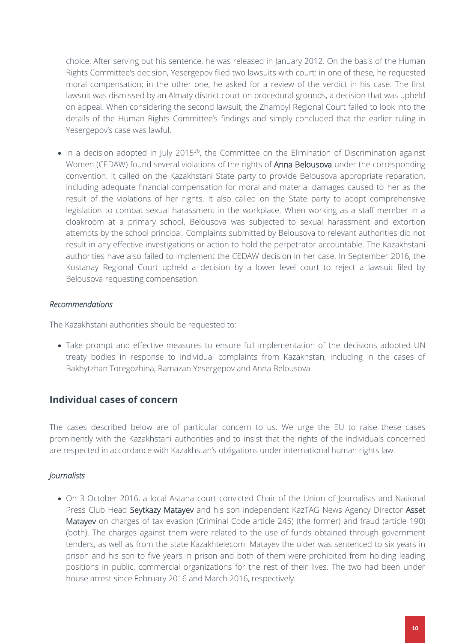choice. After serving out his sentence, he was released in January 2012. On the basis of the Human Rights Committee's decision, Yesergepov filed two lawsuits with court: in one of these, he requested moral compensation; in the other one, he asked for a review of the verdict in his case. The first lawsuit was dismissed by an Almaty district court on procedural grounds, a decision that was upheld on appeal. When considering the second lawsuit, the Zhambyl Regional Court failed to look into the details of the Human Rights Committee's findings and simply concluded that the earlier ruling in Yesergepov's case was lawful.

 $\bullet$  In a decision adopted in July 2015<sup>26</sup>, the Committee on the Elimination of Discrimination against Women (CEDAW) found several violations of the rights of **Anna Belousova** under the corresponding convention. It called on the Kazakhstani State party to provide Belousova appropriate reparation, including adequate financial compensation for moral and material damages caused to her as the result of the violations of her rights. It also called on the State party to adopt comprehensive legislation to combat sexual harassment in the workplace. When working as a staff member in a cloakroom at a primary school, Belousova was subjected to sexual harassment and extortion attempts by the school principal. Complaints submitted by Belousova to relevant authorities did not result in any effective investigations or action to hold the perpetrator accountable. The Kazakhstani authorities have also failed to implement the CEDAW decision in her case. In September 2016, the Kostanay Regional Court upheld a decision by a lower level court to reject a lawsuit filed by Belousova requesting compensation.

#### *Recommendations*

The Kazakhstani authorities should be requested to:

 Take prompt and effective measures to ensure full implementation of the decisions adopted UN treaty bodies in response to individual complaints from Kazakhstan, including in the cases of Bakhytzhan Toregozhina, Ramazan Yesergepov and Anna Belousova.

### **Individual cases of concern**

The cases described below are of particular concern to us. We urge the EU to raise these cases prominently with the Kazakhstani authorities and to insist that the rights of the individuals concerned are respected in accordance with Kazakhstan's obligations under international human rights law.

### *Journalists*

• On 3 October 2016, a local Astana court convicted Chair of the Union of Journalists and National Press Club Head Seytkazy Matayev and his son independent KazTAG News Agency Director Asset Matayev on charges of tax evasion (Criminal Code article 245) (the former) and fraud (article 190) (both). The charges against them were related to the use of funds obtained through government tenders, as well as from the state Kazakhtelecom. Matayev the older was sentenced to six years in prison and his son to five years in prison and both of them were prohibited from holding leading positions in public, commercial organizations for the rest of their lives. The two had been under house arrest since February 2016 and March 2016, respectively.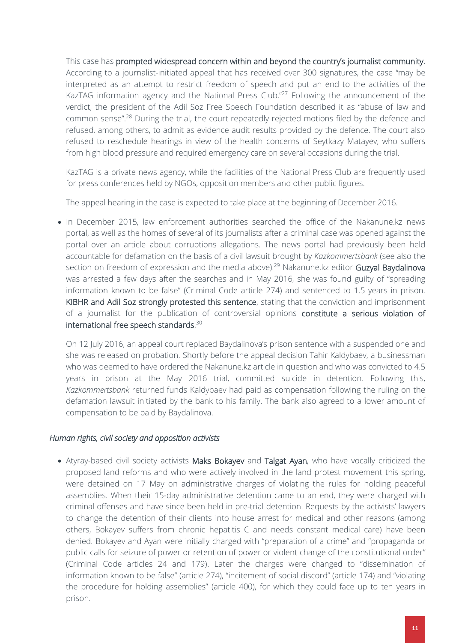This case has prompted widespread concern within and beyond the country's journalist community. According to a journalist-initiated appeal that has received over 300 signatures, the case "may be interpreted as an attempt to restrict freedom of speech and put an end to the activities of the KazTAG information agency and the National Press Club."<sup>27</sup> Following the announcement of the verdict, the president of the Adil Soz Free Speech Foundation described it as "abuse of law and common sense".<sup>28</sup> During the trial, the court repeatedly rejected motions filed by the defence and refused, among others, to admit as evidence audit results provided by the defence. The court also refused to reschedule hearings in view of the health concerns of Seytkazy Matayev, who suffers from high blood pressure and required emergency care on several occasions during the trial.

KazTAG is a private news agency, while the facilities of the National Press Club are frequently used for press conferences held by NGOs, opposition members and other public figures.

The appeal hearing in the case is expected to take place at the beginning of December 2016.

• In December 2015, law enforcement authorities searched the office of the Nakanune.kz news portal, as well as the homes of several of its journalists after a criminal case was opened against the portal over an article about corruptions allegations. The news portal had previously been held accountable for defamation on the basis of a civil lawsuit brought by *Kazkommertsbank* (see also the section on freedom of expression and the media above).<sup>29</sup> Nakanune.kz editor Guzyal Baydalinova was arrested a few days after the searches and in May 2016, she was found guilty of "spreading information known to be false" (Criminal Code article 274) and sentenced to 1.5 years in prison. KIBHR and Adil Soz strongly protested this sentence, stating that the conviction and imprisonment of a journalist for the publication of controversial opinions constitute a serious violation of international free speech standards. $^{30}$ 

On 12 July 2016, an appeal court replaced Baydalinova's prison sentence with a suspended one and she was released on probation. Shortly before the appeal decision Tahir Kaldybaev, a businessman who was deemed to have ordered the Nakanune.kz article in question and who was convicted to 4.5 years in prison at the May 2016 trial, committed suicide in detention. Following this, *Kazkommertsbank* returned funds Kaldybaev had paid as compensation following the ruling on the defamation lawsuit initiated by the bank to his family. The bank also agreed to a lower amount of compensation to be paid by Baydalinova.

#### *Human rights, civil society and opposition activists*

• Atyray-based civil society activists Maks Bokayev and Talgat Ayan, who have vocally criticized the proposed land reforms and who were actively involved in the land protest movement this spring, were detained on 17 May on administrative charges of violating the rules for holding peaceful assemblies. When their 15-day administrative detention came to an end, they were charged with criminal offenses and have since been held in pre-trial detention. Requests by the activists' lawyers to change the detention of their clients into house arrest for medical and other reasons (among others, Bokayev suffers from chronic hepatitis C and needs constant medical care) have been denied. Bokayev and Ayan were initially charged with "preparation of a crime" and "propaganda or public calls for seizure of power or retention of power or violent change of the constitutional order" (Criminal Code articles 24 and 179). Later the charges were changed to "dissemination of information known to be false" (article 274), "incitement of social discord" (article 174) and "violating the procedure for holding assemblies" (article 400), for which they could face up to ten years in prison.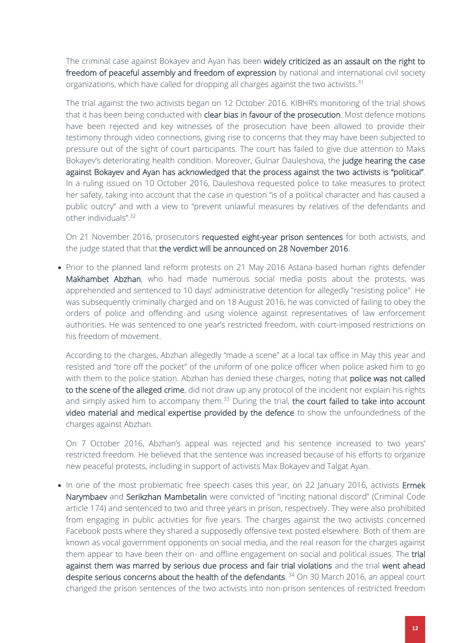The criminal case against Bokayev and Ayan has been widely criticized as an assault on the right to freedom of peaceful assembly and freedom of expression by national and international civil society organizations, which have called for dropping all charges against the two activists.<sup>31</sup>

The trial against the two activists began on 12 October 2016. KIBHR's monitoring of the trial shows that it has been being conducted with clear bias in favour of the prosecution. Most defence motions have been rejected and key witnesses of the prosecution have been allowed to provide their testimony through video connections, giving rise to concerns that they may have been subjected to pressure out of the sight of court participants. The court has failed to give due attention to Maks Bokayev's deteriorating health condition. Moreover, Gulnar Dauleshova, the judge hearing the case against Bokayev and Ayan has acknowledged that the process against the two activists is "political". In a ruling issued on 10 October 2016, Dauleshova requested police to take measures to protect her safety, taking into account that the case in question "is of a political character and has caused a public outcry" and with a view to "prevent unlawful measures by relatives of the defendants and other individuals".<sup>32</sup>

On 21 November 2016, prosecutors requested eight-year prison sentences for both activists, and the judge stated that that the verdict will be announced on 28 November 2016.

• Prior to the planned land reform protests on 21 May 2016 Astana-based human rights defender Makhambet Abzhan, who had made numerous social media posts about the protests, was apprehended and sentenced to 10 days' administrative detention for allegedly "resisting police". He was subsequently criminally charged and on 18 August 2016, he was convicted of failing to obey the orders of police and offending and using violence against representatives of law enforcement authorities. He was sentenced to one year's restricted freedom, with court-imposed restrictions on his freedom of movement.

According to the charges, Abzhan allegedly "made a scene" at a local tax office in May this year and resisted and "tore off the pocket" of the uniform of one police officer when police asked him to go with them to the police station. Abzhan has denied these charges, noting that police was not called to the scene of the alleged crime, did not draw up any protocol of the incident nor explain his rights and simply asked him to accompany them.<sup>33</sup> During the trial, the court failed to take into account video material and medical expertise provided by the defence to show the unfoundedness of the charges against Abzhan.

On 7 October 2016, Abzhan's appeal was rejected and his sentence increased to two years' restricted freedom. He believed that the sentence was increased because of his efforts to organize new peaceful protests, including in support of activists Max Bokayev and Talgat Ayan.

• In one of the most problematic free speech cases this year, on 22 January 2016, activists Ermek Narymbaev and Serikzhan Mambetalin were convicted of "inciting national discord" (Criminal Code article 174) and sentenced to two and three years in prison, respectively. They were also prohibited from engaging in public activities for five years. The charges against the two activists concerned Facebook posts where they shared a supposedly offensive text posted elsewhere. Both of them are known as vocal government opponents on social media, and the real reason for the charges against them appear to have been their on- and offline engagement on social and political issues. The trial against them was marred by serious due process and fair trial violations and the trial went ahead despite serious concerns about the health of the defendants.<sup>34</sup> On 30 March 2016, an appeal court changed the prison sentences of the two activists into non-prison sentences of restricted freedom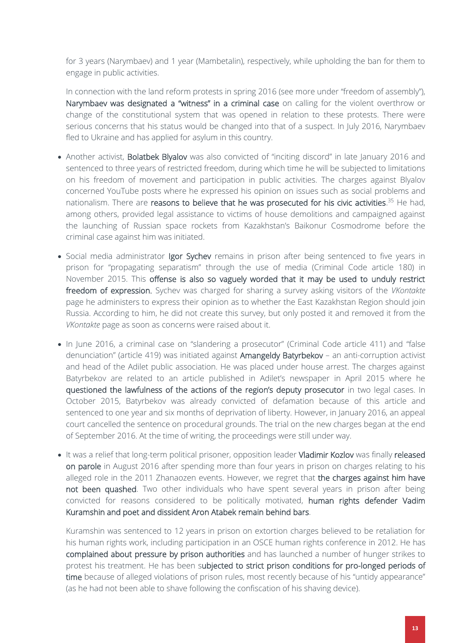for 3 years (Narymbaev) and 1 year (Mambetalin), respectively, while upholding the ban for them to engage in public activities.

In connection with the land reform protests in spring 2016 (see more under "freedom of assembly"), Narymbaev was designated a "witness" in a criminal case on calling for the violent overthrow or change of the constitutional system that was opened in relation to these protests. There were serious concerns that his status would be changed into that of a suspect. In July 2016, Narymbaev fled to Ukraine and has applied for asylum in this country.

- Another activist, Bolatbek Blyalov was also convicted of "inciting discord" in late January 2016 and sentenced to three years of restricted freedom, during which time he will be subjected to limitations on his freedom of movement and participation in public activities. The charges against Blyalov concerned YouTube posts where he expressed his opinion on issues such as social problems and nationalism. There are reasons to believe that he was prosecuted for his civic activities.<sup>35</sup> He had, among others, provided legal assistance to victims of house demolitions and campaigned against the launching of Russian space rockets from Kazakhstan's Baikonur Cosmodrome before the criminal case against him was initiated.
- Social media administrator Igor Sychev remains in prison after being sentenced to five years in prison for "propagating separatism" through the use of media (Criminal Code article 180) in November 2015. This offense is also so vaguely worded that it may be used to unduly restrict freedom of expression. Sychev was charged for sharing a survey asking visitors of the *VKontakte* page he administers to express their opinion as to whether the East Kazakhstan Region should join Russia. According to him, he did not create this survey, but only posted it and removed it from the *VKontakte* page as soon as concerns were raised about it.
- In June 2016, a criminal case on "slandering a prosecutor" (Criminal Code article 411) and "false denunciation" (article 419) was initiated against Amangeldy Batyrbekov – an anti-corruption activist and head of the Adilet public association. He was placed under house arrest. The charges against Batyrbekov are related to an article published in Adilet's newspaper in April 2015 where he questioned the lawfulness of the actions of the region's deputy prosecutor in two legal cases. In October 2015, Batyrbekov was already convicted of defamation because of this article and sentenced to one year and six months of deprivation of liberty. However, in January 2016, an appeal court cancelled the sentence on procedural grounds. The trial on the new charges began at the end of September 2016. At the time of writing, the proceedings were still under way.
- It was a relief that long-term political prisoner, opposition leader Vladimir Kozlov was finally released on parole in August 2016 after spending more than four years in prison on charges relating to his alleged role in the 2011 Zhanaozen events. However, we regret that the charges against him have not been quashed. Two other individuals who have spent several years in prison after being convicted for reasons considered to be politically motivated, human rights defender Vadim Kuramshin and poet and dissident Aron Atabek remain behind bars.

Kuramshin was sentenced to 12 years in prison on extortion charges believed to be retaliation for his human rights work, including participation in an OSCE human rights conference in 2012. He has complained about pressure by prison authorities and has launched a number of hunger strikes to protest his treatment. He has been subjected to strict prison conditions for pro-longed periods of time because of alleged violations of prison rules, most recently because of his "untidy appearance" (as he had not been able to shave following the confiscation of his shaving device).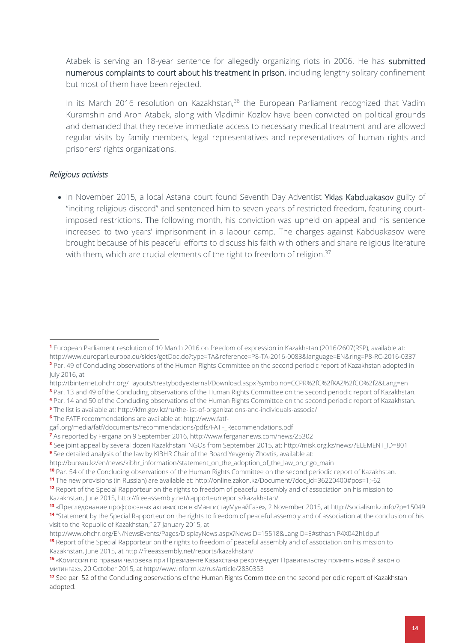Atabek is serving an 18-year sentence for allegedly organizing riots in 2006. He has submitted numerous complaints to court about his treatment in prison, including lengthy solitary confinement but most of them have been rejected.

In its March 2016 resolution on Kazakhstan,<sup>36</sup> the European Parliament recognized that Vadim Kuramshin and Aron Atabek, along with Vladimir Kozlov have been convicted on political grounds and demanded that they receive immediate access to necessary medical treatment and are allowed regular visits by family members, legal representatives and representatives of human rights and prisoners' rights organizations.

#### *Religious activists*

1

• In November 2015, a local Astana court found Seventh Day Adventist Yklas Kabduakasov guilty of "inciting religious discord" and sentenced him to seven years of restricted freedom, featuring courtimposed restrictions. The following month, his conviction was upheld on appeal and his sentence increased to two years' imprisonment in a labour camp. The charges against Kabduakasov were brought because of his peaceful efforts to discuss his faith with others and share religious literature with them, which are crucial elements of the right to freedom of religion.<sup>37</sup>

- http://tbinternet.ohchr.org/\_layouts/treatybodyexternal/Download.aspx?symbolno=CCPR%2fC%2fKAZ%2fCO%2f2&Lang=en
- **<sup>3</sup>** Par. 13 and 49 of the Concluding observations of the Human Rights Committee on the second periodic report of Kazakhstan.

- **<sup>5</sup>** The list is available at[: http://kfm.gov.kz/ru/the-list-of-organizations-and-individuals-associa/](http://kfm.gov.kz/ru/the-list-of-organizations-and-individuals-associa/)
- **<sup>6</sup>** The FATF recommendations are available at: http://www.fatf-

**<sup>1</sup>** European Parliament resolution of 10 March 2016 on freedom of expression in Kazakhstan (2016/2607(RSP), available at: http://www.europarl.europa.eu/sides/getDoc.do?type=TA&reference=P8-TA-2016-0083&language=EN&ring=P8-RC-2016-0337

**<sup>2</sup>** Par. 49 of Concluding observations of the Human Rights Committee on the second periodic report of Kazakhstan adopted in July 2016, at

**<sup>4</sup>** Par. 14 and 50 of the Concluding observations of the Human Rights Committee on the second periodic report of Kazakhstan.

gafi.org/media/fatf/documents/recommendations/pdfs/FATF\_Recommendations.pdf

**<sup>7</sup>** As reported by Fergana on 9 September 2016,<http://www.fergananews.com/news/25302>

**<sup>8</sup>** See joint appeal by several dozen Kazakhstani NGOs from September 2015, at: http://misk.org.kz/news/?ELEMENT\_ID=801 **<sup>9</sup>** See detailed analysis of the law by KIBHR Chair of the Board Yevgeniy Zhovtis, available at:

[http://bureau.kz/en/news/kibhr\\_information/statement\\_on\\_the\\_adoption\\_of\\_the\\_law\\_on\\_ngo\\_main](http://bureau.kz/en/news/kibhr_information/statement_on_the_adoption_of_the_law_on_ngo_main)

**<sup>10</sup>** Par. 54 of the Concluding observations of the Human Rights Committee on the second periodic report of Kazakhstan.

**<sup>11</sup>** The new provisions (in Russian) are available at: http://online.zakon.kz/Document/?doc\_id=36220400#pos=1;-62

**<sup>12</sup>** Report of the Special Rapporteur on the rights to freedom of peaceful assembly and of association on his mission to Kazakhstan, June 2015, http://freeassembly.net/rapporteurreports/kazakhstan/

**<sup>13</sup>** «Преследование профсоюзных активистов в «МангистауМунайГазе», 2 November 2015, at http://socialismkz.info/?p=15049 **14** "Statement by the Special Rapporteur on the rights to freedom of peaceful assembly and of association at the conclusion of his visit to the Republic of Kazakhstan," 27 January 2015, at

http://www.ohchr.org/EN/NewsEvents/Pages/DisplayNews.aspx?NewsID=15518&LangID=E#sthash.P4X042hl.dpuf

**<sup>15</sup>** Report of the Special Rapporteur on the rights to freedom of peaceful assembly and of association on his mission to Kazakhstan, June 2015, at http://freeassembly.net/reports/kazakhstan/

**<sup>16</sup>** «Комиссия по правам человека при Президенте Казахстана рекомендует Правительству принять новый закон о митингах», 20 October 2015, at http://www.inform.kz/rus/article/2830353

**<sup>17</sup>** See par. 52 of the Concluding observations of the Human Rights Committee on the second periodic report of Kazakhstan adopted.